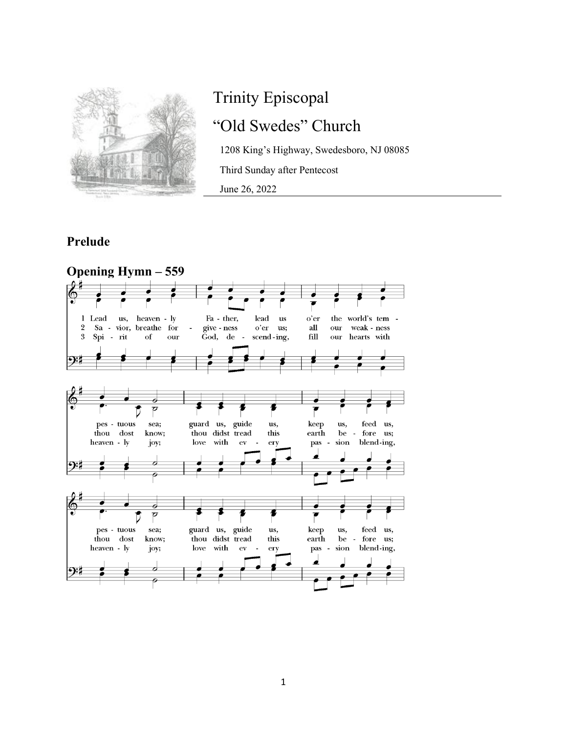

# Trinity Episcopal "Old Swedes" Church

1208 King's Highway, Swedesboro, NJ 08085

Third Sunday after Pentecost

June 26, 2022

# **Prelude**

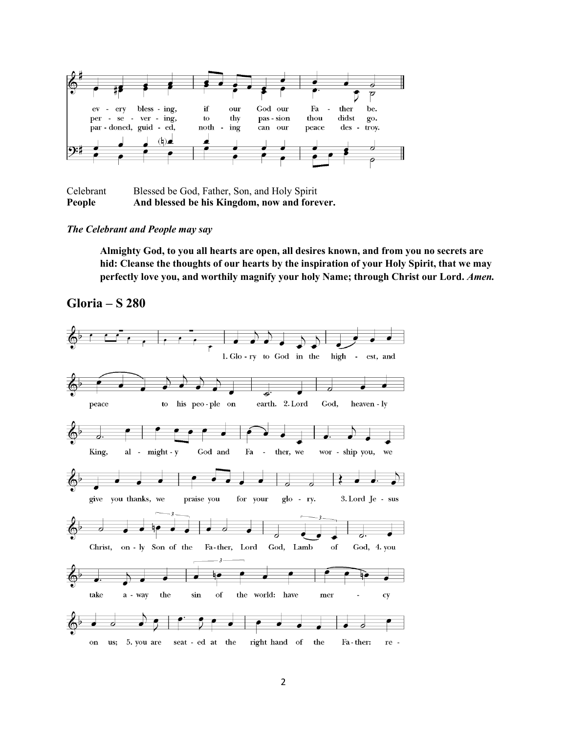

| Celebrant | Blessed be God, Father, Son, and Holy Spirit |
|-----------|----------------------------------------------|
| People    | And blessed be his Kingdom, now and forever. |

#### *The Celebrant and People may say*

**Almighty God, to you all hearts are open, all desires known, and from you no secrets are hid: Cleanse the thoughts of our hearts by the inspiration of your Holy Spirit, that we may perfectly love you, and worthily magnify your holy Name; through Christ our Lord.** *Amen.*

### **Gloria – S 280**

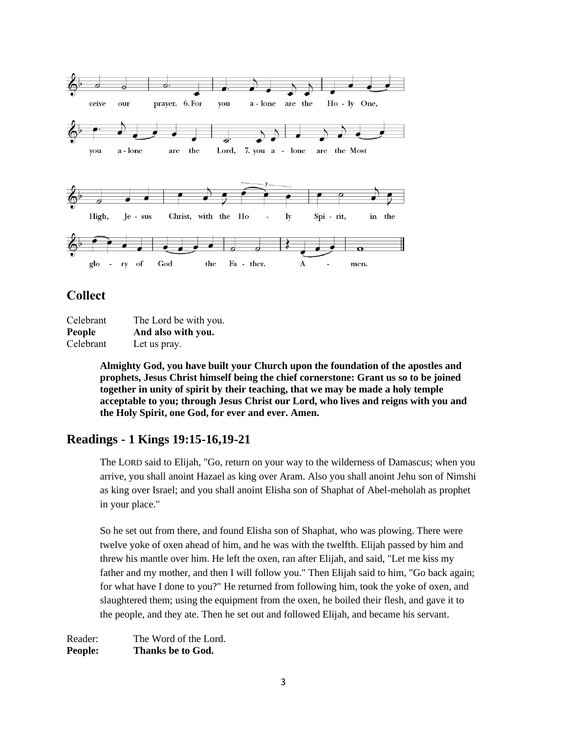

# **Collect**

| Celebrant     | The Lord be with you. |
|---------------|-----------------------|
| <b>People</b> | And also with you.    |
| Celebrant     | Let us pray.          |

**Almighty God, you have built your Church upon the foundation of the apostles and prophets, Jesus Christ himself being the chief cornerstone: Grant us so to be joined together in unity of spirit by their teaching, that we may be made a holy temple acceptable to you; through Jesus Christ our Lord, who lives and reigns with you and the Holy Spirit, one God, for ever and ever. Amen.**

### **Readings - 1 Kings 19:15-16,19-21**

The LORD said to Elijah, "Go, return on your way to the wilderness of Damascus; when you arrive, you shall anoint Hazael as king over Aram. Also you shall anoint Jehu son of Nimshi as king over Israel; and you shall anoint Elisha son of Shaphat of Abel-meholah as prophet in your place."

So he set out from there, and found Elisha son of Shaphat, who was plowing. There were twelve yoke of oxen ahead of him, and he was with the twelfth. Elijah passed by him and threw his mantle over him. He left the oxen, ran after Elijah, and said, "Let me kiss my father and my mother, and then I will follow you." Then Elijah said to him, "Go back again; for what have I done to you?" He returned from following him, took the yoke of oxen, and slaughtered them; using the equipment from the oxen, he boiled their flesh, and gave it to the people, and they ate. Then he set out and followed Elijah, and became his servant.

Reader: The Word of the Lord. **People: Thanks be to God.**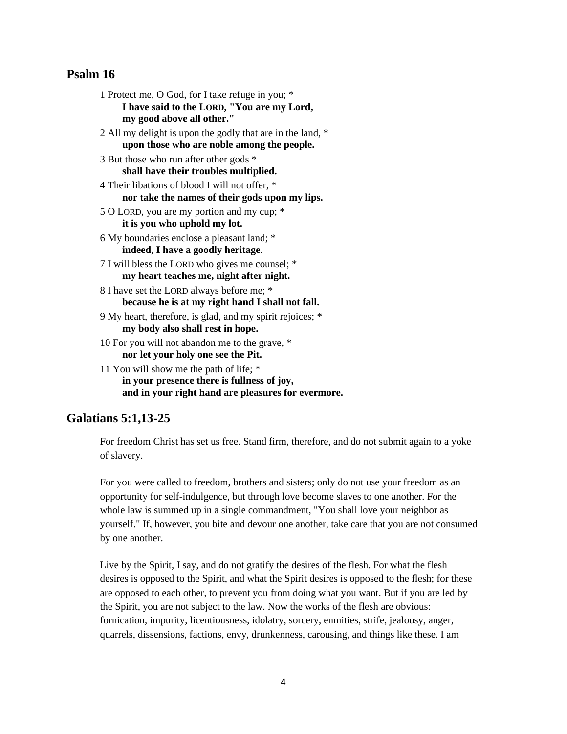#### **Psalm 16**

1 Protect me, O God, for I take refuge in you; \* **I have said to the LORD, "You are my Lord, my good above all other."** 2 All my delight is upon the godly that are in the land, \* **upon those who are noble among the people.** 3 But those who run after other gods \* **shall have their troubles multiplied.** 4 Their libations of blood I will not offer, \* **nor take the names of their gods upon my lips.** 5 O LORD, you are my portion and my cup; \* **it is you who uphold my lot.** 6 My boundaries enclose a pleasant land; \* **indeed, I have a goodly heritage.** 7 I will bless the LORD who gives me counsel; \* **my heart teaches me, night after night.** 8 I have set the LORD always before me; \* **because he is at my right hand I shall not fall.** 9 My heart, therefore, is glad, and my spirit rejoices; \* **my body also shall rest in hope.** 10 For you will not abandon me to the grave, \* **nor let your holy one see the Pit.** 11 You will show me the path of life; \* **in your presence there is fullness of joy, and in your right hand are pleasures for evermore.**

### **Galatians 5:1,13-25**

For freedom Christ has set us free. Stand firm, therefore, and do not submit again to a yoke of slavery.

For you were called to freedom, brothers and sisters; only do not use your freedom as an opportunity for self-indulgence, but through love become slaves to one another. For the whole law is summed up in a single commandment, "You shall love your neighbor as yourself." If, however, you bite and devour one another, take care that you are not consumed by one another.

Live by the Spirit, I say, and do not gratify the desires of the flesh. For what the flesh desires is opposed to the Spirit, and what the Spirit desires is opposed to the flesh; for these are opposed to each other, to prevent you from doing what you want. But if you are led by the Spirit, you are not subject to the law. Now the works of the flesh are obvious: fornication, impurity, licentiousness, idolatry, sorcery, enmities, strife, jealousy, anger, quarrels, dissensions, factions, envy, drunkenness, carousing, and things like these. I am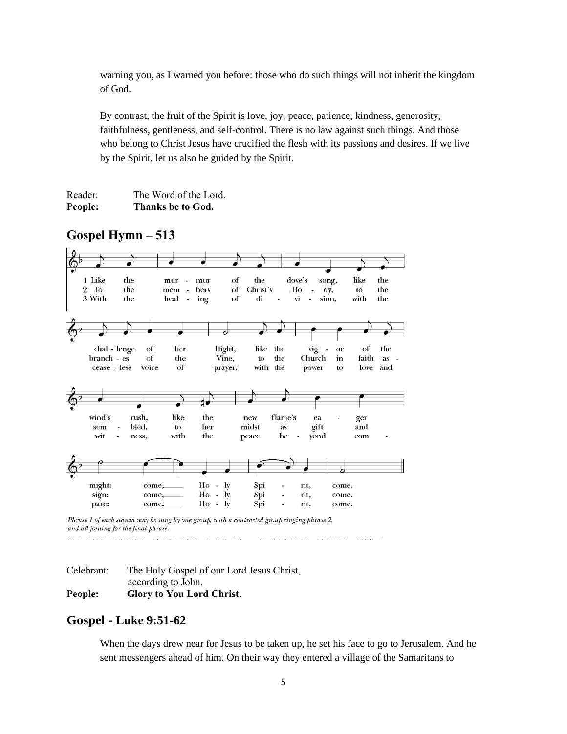warning you, as I warned you before: those who do such things will not inherit the kingdom of God.

By contrast, the fruit of the Spirit is love, joy, peace, patience, kindness, generosity, faithfulness, gentleness, and self-control. There is no law against such things. And those who belong to Christ Jesus have crucified the flesh with its passions and desires. If we live by the Spirit, let us also be guided by the Spirit.

| Reader: | The Word of the Lord.    |
|---------|--------------------------|
| People: | <b>Thanks be to God.</b> |

| 1 Like<br>To<br>$\overline{2}$<br>3 With | the<br>the<br>the            |                         | mur<br>$\overline{\phantom{0}}$<br>mem<br>$\blacksquare$<br>heal<br>$\overline{a}$ | mur<br>bers<br>ing | of<br>of<br>of              | the<br>Christ's<br>di  |                     | dove's<br>song,<br>Bo<br>dy,<br>$\blacksquare$<br>vi<br>sion,<br>$\overline{a}$             |                         | like<br>to<br>with  | the<br>the<br>the  |
|------------------------------------------|------------------------------|-------------------------|------------------------------------------------------------------------------------|--------------------|-----------------------------|------------------------|---------------------|---------------------------------------------------------------------------------------------|-------------------------|---------------------|--------------------|
|                                          |                              |                         |                                                                                    |                    | 6                           |                        |                     |                                                                                             |                         |                     |                    |
| branch - es<br>cease - less              | chal - lenge                 | οf<br>of<br>voice       | her<br>the<br>of                                                                   |                    | flight,<br>Vine,<br>prayer, | like<br>to<br>with the | the<br>the          | vig -<br>Church<br>power                                                                    | or<br>in<br>to          | of<br>faith<br>love | the<br>as -<br>and |
|                                          |                              |                         |                                                                                    | ı.                 |                             |                        |                     |                                                                                             |                         |                     |                    |
| wind's<br>sem<br>wit                     | $\qquad \qquad \blacksquare$ | rush,<br>bled,<br>ness, | like<br>to<br>with                                                                 | the<br>her<br>the  |                             | new<br>midst<br>peace  | flame's<br>as<br>be | ea<br>gift<br>yond<br>$\overline{a}$                                                        |                         | ger<br>and<br>com   |                    |
|                                          |                              |                         |                                                                                    |                    |                             |                        |                     |                                                                                             |                         |                     |                    |
| might:<br>sign:<br>pare:                 |                              | come,<br>come,          | come,                                                                              | $Ho -$<br>$H_0$ -  | - Iv<br>- Iv<br>$H_0 - V$   | Spi<br>Spi<br>Spi      |                     | rit,<br>rit,<br>rit,                                                                        | come.<br>come.<br>come. |                     |                    |
| and all joining for the final phrase.    |                              |                         |                                                                                    |                    |                             |                        |                     | Phrase 1 of each stanza may be sung by one group, with a contrasted group singing phrase 2, |                         |                     |                    |

| People:    | <b>Glory to You Lord Christ.</b>          |
|------------|-------------------------------------------|
|            | according to John.                        |
| Celebrant: | The Holy Gospel of our Lord Jesus Christ, |

# **Gospel - Luke 9:51-62**

When the days drew near for Jesus to be taken up, he set his face to go to Jerusalem. And he sent messengers ahead of him. On their way they entered a village of the Samaritans to

# **Gospel Hymn – 513**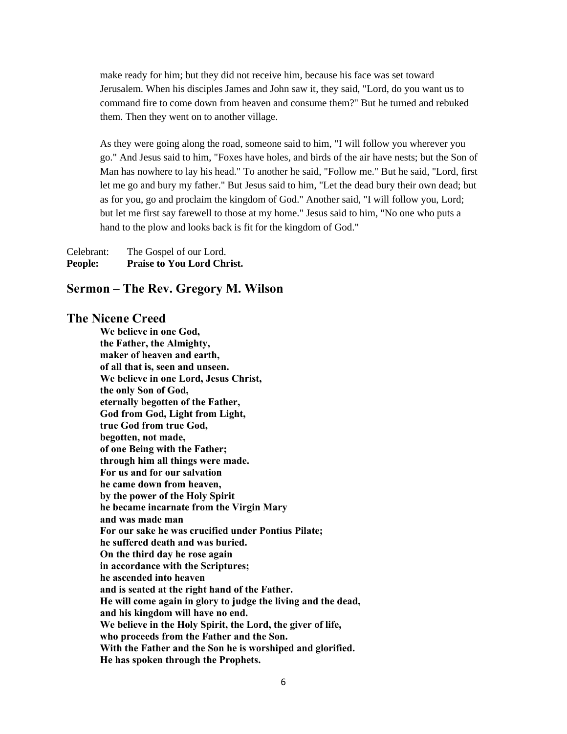make ready for him; but they did not receive him, because his face was set toward Jerusalem. When his disciples James and John saw it, they said, "Lord, do you want us to command fire to come down from heaven and consume them?" But he turned and rebuked them. Then they went on to another village.

As they were going along the road, someone said to him, "I will follow you wherever you go." And Jesus said to him, "Foxes have holes, and birds of the air have nests; but the Son of Man has nowhere to lay his head." To another he said, "Follow me." But he said, "Lord, first let me go and bury my father." But Jesus said to him, "Let the dead bury their own dead; but as for you, go and proclaim the kingdom of God." Another said, "I will follow you, Lord; but let me first say farewell to those at my home." Jesus said to him, "No one who puts a hand to the plow and looks back is fit for the kingdom of God."

| <b>People:</b> | <b>Praise to You Lord Christ.</b> |
|----------------|-----------------------------------|
| Celebrant:     | The Gospel of our Lord.           |

#### **Sermon – The Rev. Gregory M. Wilson**

#### **The Nicene Creed**

**We believe in one God, the Father, the Almighty, maker of heaven and earth, of all that is, seen and unseen. We believe in one Lord, Jesus Christ, the only Son of God, eternally begotten of the Father, God from God, Light from Light, true God from true God, begotten, not made, of one Being with the Father; through him all things were made. For us and for our salvation he came down from heaven, by the power of the Holy Spirit he became incarnate from the Virgin Mary and was made man For our sake he was crucified under Pontius Pilate; he suffered death and was buried. On the third day he rose again in accordance with the Scriptures; he ascended into heaven and is seated at the right hand of the Father. He will come again in glory to judge the living and the dead, and his kingdom will have no end. We believe in the Holy Spirit, the Lord, the giver of life, who proceeds from the Father and the Son. With the Father and the Son he is worshiped and glorified. He has spoken through the Prophets.**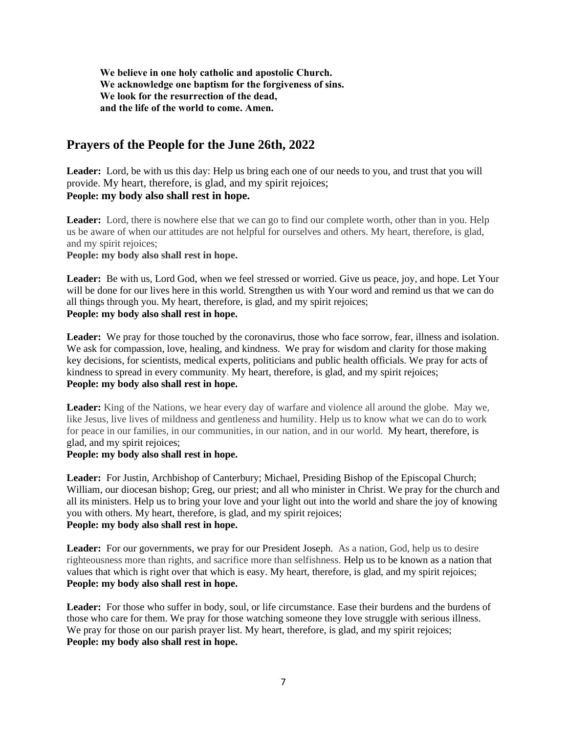**We believe in one holy catholic and apostolic Church. We acknowledge one baptism for the forgiveness of sins. We look for the resurrection of the dead, and the life of the world to come. Amen.** 

### **Prayers of the People for the June 26th, 2022**

**Leader:** Lord, be with us this day: Help us bring each one of our needs to you, and trust that you will provide. My heart, therefore, is glad, and my spirit rejoices; **People: my body also shall rest in hope.** 

Leader: Lord, there is nowhere else that we can go to find our complete worth, other than in you. Help us be aware of when our attitudes are not helpful for ourselves and others. My heart, therefore, is glad, and my spirit rejoices;

**People: my body also shall rest in hope.**

**Leader:** Be with us, Lord God, when we feel stressed or worried. Give us peace, joy, and hope. Let Your will be done for our lives here in this world. Strengthen us with Your word and remind us that we can do all things through you. My heart, therefore, is glad, and my spirit rejoices; **People: my body also shall rest in hope.**

Leader: We pray for those touched by the coronavirus, those who face sorrow, fear, illness and isolation. We ask for compassion, love, healing, and kindness. We pray for wisdom and clarity for those making key decisions, for scientists, medical experts, politicians and public health officials. We pray for acts of kindness to spread in every community. My heart, therefore, is glad, and my spirit rejoices; **People: my body also shall rest in hope.**

**Leader:** King of the Nations, we hear every day of warfare and violence all around the globe. May we, like Jesus, live lives of mildness and gentleness and humility. Help us to know what we can do to work for peace in our families, in our communities, in our nation, and in our world. My heart, therefore, is glad, and my spirit rejoices;

#### **People: my body also shall rest in hope.**

**Leader:** For Justin, Archbishop of Canterbury; Michael, Presiding Bishop of the Episcopal Church; William, our diocesan bishop; Greg, our priest; and all who minister in Christ. We pray for the church and all its ministers. Help us to bring your love and your light out into the world and share the joy of knowing you with others. My heart, therefore, is glad, and my spirit rejoices; **People: my body also shall rest in hope.**

Leader: For our governments, we pray for our President Joseph. As a nation, God, help us to desire righteousness more than rights, and sacrifice more than selfishness. Help us to be known as a nation that values that which is right over that which is easy. My heart, therefore, is glad, and my spirit rejoices; **People: my body also shall rest in hope.**

Leader: For those who suffer in body, soul, or life circumstance. Ease their burdens and the burdens of those who care for them. We pray for those watching someone they love struggle with serious illness. We pray for those on our parish prayer list. My heart, therefore, is glad, and my spirit rejoices; **People: my body also shall rest in hope.**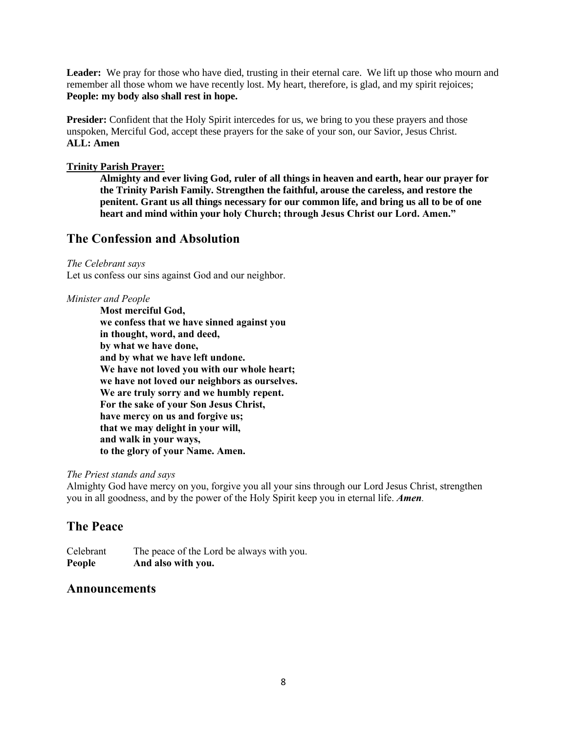Leader: We pray for those who have died, trusting in their eternal care. We lift up those who mourn and remember all those whom we have recently lost. My heart, therefore, is glad, and my spirit rejoices; **People: my body also shall rest in hope.**

**Presider:** Confident that the Holy Spirit intercedes for us, we bring to you these prayers and those unspoken, Merciful God, accept these prayers for the sake of your son, our Savior, Jesus Christ. **ALL: Amen**

#### **Trinity Parish Prayer:**

**Almighty and ever living God, ruler of all things in heaven and earth, hear our prayer for the Trinity Parish Family. Strengthen the faithful, arouse the careless, and restore the penitent. Grant us all things necessary for our common life, and bring us all to be of one heart and mind within your holy Church; through Jesus Christ our Lord. Amen."**

# **The Confession and Absolution**

*The Celebrant says* Let us confess our sins against God and our neighbor.

#### *Minister and People*

**Most merciful God, we confess that we have sinned against you in thought, word, and deed, by what we have done, and by what we have left undone. We have not loved you with our whole heart; we have not loved our neighbors as ourselves. We are truly sorry and we humbly repent. For the sake of your Son Jesus Christ, have mercy on us and forgive us; that we may delight in your will, and walk in your ways, to the glory of your Name. Amen.**

#### *The Priest stands and says*

Almighty God have mercy on you, forgive you all your sins through our Lord Jesus Christ, strengthen you in all goodness, and by the power of the Holy Spirit keep you in eternal life. *Amen.*

### **The Peace**

Celebrant The peace of the Lord be always with you. **People And also with you.**

### **Announcements**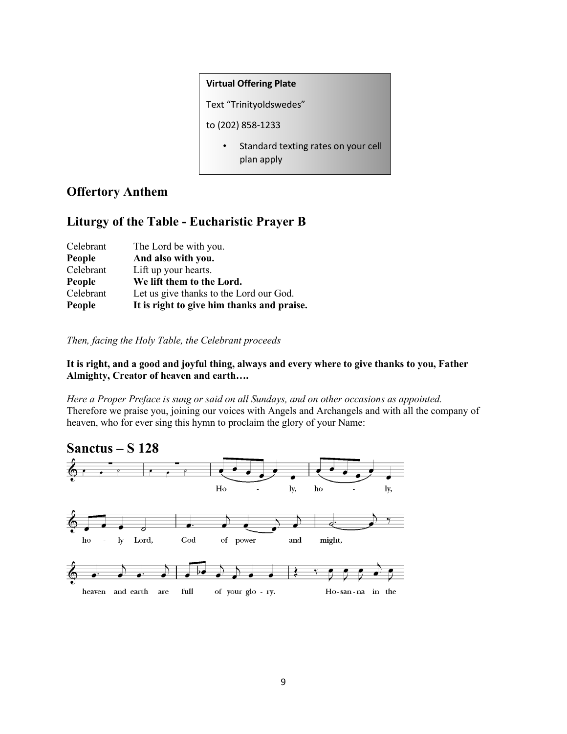#### **Virtual Offering Plate**

Text "Trinityoldswedes"

to (202) 858-1233

• Standard texting rates on your cell plan apply

# **Offertory Anthem**

# **Liturgy of the Table - Eucharistic Prayer B**

| Celebrant | The Lord be with you.                      |
|-----------|--------------------------------------------|
| People    | And also with you.                         |
| Celebrant | Lift up your hearts.                       |
| People    | We lift them to the Lord.                  |
| Celebrant | Let us give thanks to the Lord our God.    |
| People    | It is right to give him thanks and praise. |

*Then, facing the Holy Table, the Celebrant proceeds*

**It is right, and a good and joyful thing, always and every where to give thanks to you, Father Almighty, Creator of heaven and earth….**

*Here a Proper Preface is sung or said on all Sundays, and on other occasions as appointed.* Therefore we praise you, joining our voices with Angels and Archangels and with all the company of heaven, who for ever sing this hymn to proclaim the glory of your Name:

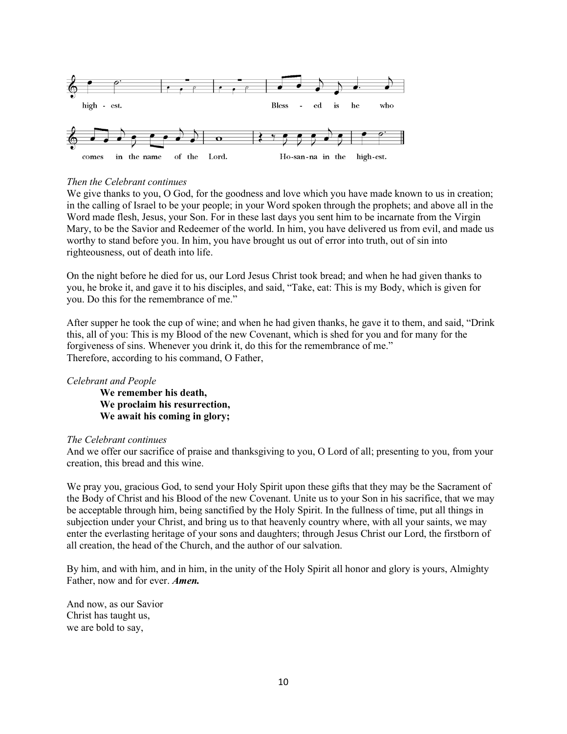

#### *Then the Celebrant continues*

We give thanks to you, O God, for the goodness and love which you have made known to us in creation; in the calling of Israel to be your people; in your Word spoken through the prophets; and above all in the Word made flesh, Jesus, your Son. For in these last days you sent him to be incarnate from the Virgin Mary, to be the Savior and Redeemer of the world. In him, you have delivered us from evil, and made us worthy to stand before you. In him, you have brought us out of error into truth, out of sin into righteousness, out of death into life.

On the night before he died for us, our Lord Jesus Christ took bread; and when he had given thanks to you, he broke it, and gave it to his disciples, and said, "Take, eat: This is my Body, which is given for you. Do this for the remembrance of me."

After supper he took the cup of wine; and when he had given thanks, he gave it to them, and said, "Drink this, all of you: This is my Blood of the new Covenant, which is shed for you and for many for the forgiveness of sins. Whenever you drink it, do this for the remembrance of me." Therefore, according to his command, O Father,

#### *Celebrant and People*

**We remember his death, We proclaim his resurrection, We await his coming in glory;**

#### *The Celebrant continues*

And we offer our sacrifice of praise and thanksgiving to you, O Lord of all; presenting to you, from your creation, this bread and this wine.

We pray you, gracious God, to send your Holy Spirit upon these gifts that they may be the Sacrament of the Body of Christ and his Blood of the new Covenant. Unite us to your Son in his sacrifice, that we may be acceptable through him, being sanctified by the Holy Spirit. In the fullness of time, put all things in subjection under your Christ, and bring us to that heavenly country where, with all your saints, we may enter the everlasting heritage of your sons and daughters; through Jesus Christ our Lord, the firstborn of all creation, the head of the Church, and the author of our salvation.

By him, and with him, and in him, in the unity of the Holy Spirit all honor and glory is yours, Almighty Father, now and for ever. *Amen.*

And now, as our Savior Christ has taught us, we are bold to say,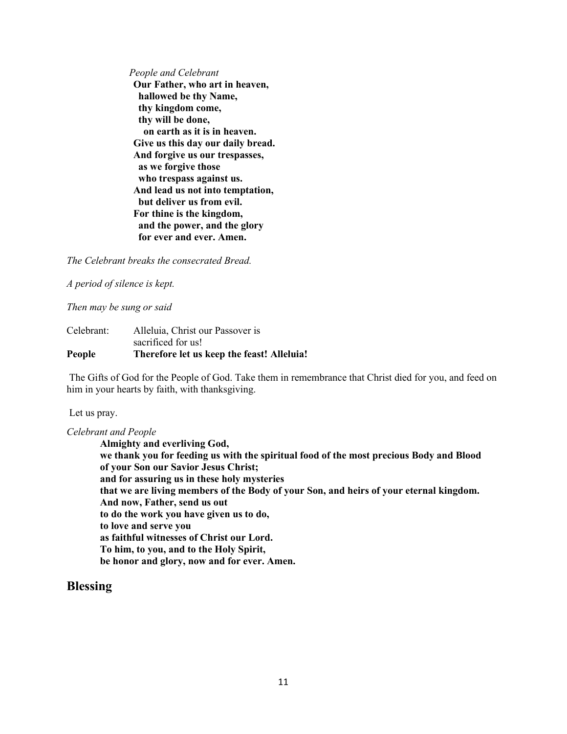*People and Celebrant* **Our Father, who art in heaven, hallowed be thy Name, thy kingdom come, thy will be done, on earth as it is in heaven. Give us this day our daily bread. And forgive us our trespasses, as we forgive those who trespass against us. And lead us not into temptation, but deliver us from evil. For thine is the kingdom, and the power, and the glory for ever and ever. Amen.**

*The Celebrant breaks the consecrated Bread.*

*A period of silence is kept.*

*Then may be sung or said*

| People     | Therefore let us keep the feast! Alleluia! |
|------------|--------------------------------------------|
|            | sacrificed for us!                         |
| Celebrant: | Alleluia, Christ our Passover is           |

The Gifts of God for the People of God. Take them in remembrance that Christ died for you, and feed on him in your hearts by faith, with thanksgiving.

Let us pray.

*Celebrant and People*

**Almighty and everliving God, we thank you for feeding us with the spiritual food of the most precious Body and Blood of your Son our Savior Jesus Christ; and for assuring us in these holy mysteries that we are living members of the Body of your Son, and heirs of your eternal kingdom. And now, Father, send us out to do the work you have given us to do, to love and serve you as faithful witnesses of Christ our Lord. To him, to you, and to the Holy Spirit, be honor and glory, now and for ever. Amen.**

### **Blessing**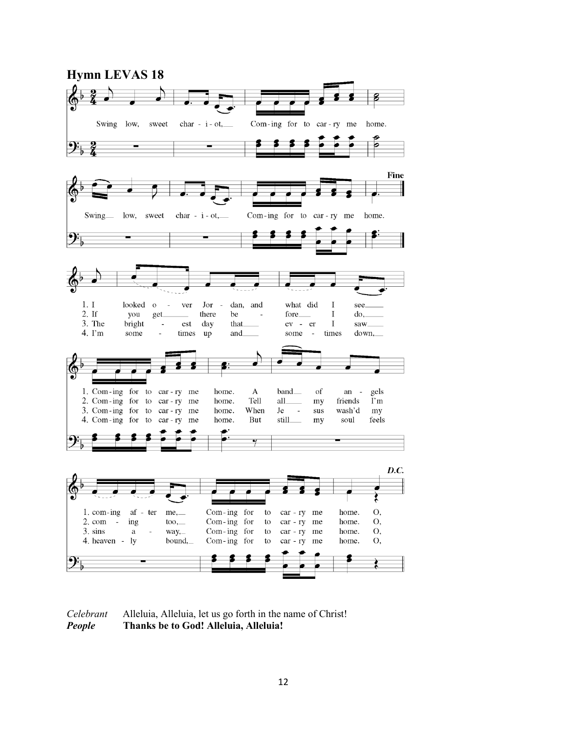

*Celebrant* Alleluia, Alleluia, let us go forth in the name of Christ! *People* **Thanks be to God! Alleluia, Alleluia!**